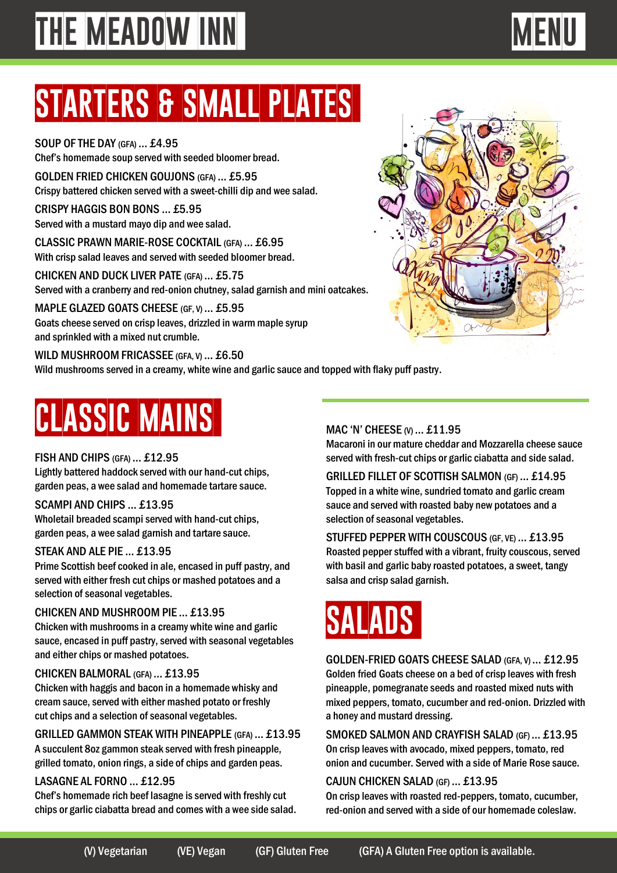### **starters & small plates**

SOUP OF THE DAY (GFA) … £4.95 Chef's homemade soup served with seeded bloomer bread.

GOLDEN FRIED CHICKEN GOUJONS (GFA) … £5.95 Crispy battered chicken served with a sweet-chilli dip and wee salad.

CRISPY HAGGIS BON BONS … £5.95 Served with a mustard mayo dip and wee salad.

CLASSIC PRAWN MARIE-ROSE COCKTAIL (GFA) … £6.95 With crisp salad leaves and served with seeded bloomer bread.

CHICKEN AND DUCK LIVER PATE (GFA) … £5.75 Served with a cranberry and red-onion chutney, salad garnish and mini oatcakes..

MAPLE GLAZED GOATS CHEESE (GF, V) ... £5.95 Goats cheese served on crisp leaves, drizzled in warm maple syrup and sprinkled with a mixed nut crumble.

WILD MUSHROOM FRICASSEE (GFA, V) ... £6.50 Wild mushrooms served in a creamy, white wine and garlic sauce and topped with flaky puff pastry.

## **classic mains**

### FISH AND CHIPS (GFA) … £12.95

Lightly battered haddock served with our hand-cut chips, garden peas, a wee salad and homemade tartare sauce.

### SCAMPI AND CHIPS … £13.95

Wholetail breaded scampi served with hand-cut chips, garden peas, a wee salad garnish and tartare sauce.

### STEAK AND ALE PIE … £13.95

Prime Scottish beef cooked in ale, encased in puff pastry, and served with either fresh cut chips or mashed potatoes and a selection of seasonal vegetables.

### CHICKEN AND MUSHROOM PIE … £13.95

Chicken with mushrooms in a creamy white wine and garlic sauce, encased in puff pastry, served with seasonal vegetables and either chips or mashed potatoes.

### CHICKEN BALMORAL (GFA) … £13.95

Chicken with haggis and bacon in a homemade whisky and cream sauce, served with either mashed potato or freshly cut chips and a selection of seasonal vegetables.

GRILLED GAMMON STEAK WITH PINEAPPLE (GFA) … £13.95 A succulent 8oz gammon steak served with fresh pineapple, grilled tomato, onion rings, a side of chips and garden peas.

### LASAGNE AL FORNO … £12.95

Chef's homemade rich beef lasagne is served with freshly cut chips or garlic ciabatta bread and comes with a wee side salad.

### MAC 'N' CHEESE (V) ... £11.95

Macaroni in our mature cheddar and Mozzarella cheese sauce served with fresh-cut chips or garlic ciabatta and side salad.

GRILLED FILLET OF SCOTTISH SALMON (GF)… £14.95 Topped in a white wine, sundried tomato and garlic cream sauce and served with roasted baby new potatoes and a selection of seasonal vegetables.

STUFFED PEPPER WITH COUSCOUS (GF, VE) … £13.95 Roasted pepper stuffed with a vibrant, fruity couscous, served with basil and garlic baby roasted potatoes, a sweet, tangy salsa and crisp salad garnish.

### **salads**

GOLDEN-FRIED GOATS CHEESE SALAD (GFA, V) … £12.95 Golden fried Goats cheese on a bed of crisp leaves with fresh pineapple, pomegranate seeds and roasted mixed nuts with mixed peppers, tomato, cucumber and red-onion. Drizzled with a honey and mustard dressing.

SMOKED SALMON AND CRAYFISH SALAD (GF)… £13.95 On crisp leaves with avocado, mixed peppers, tomato, red onion and cucumber. Served with a side of Marie Rose sauce.

### CAJUN CHICKEN SALAD (GF) … £13.95

On crisp leaves with roasted red-peppers, tomato, cucumber, red-onion and served with a side of our homemade coleslaw.